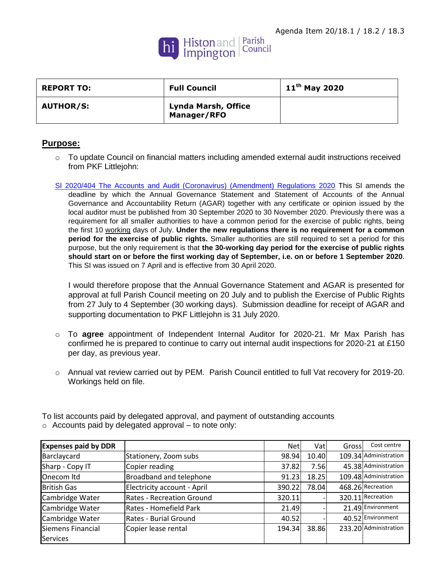

| <b>REPORT TO:</b> | <b>Full Council</b>                | $11^{\text{th}}$ May 2020 |
|-------------------|------------------------------------|---------------------------|
| <b>AUTHOR/S:</b>  | Lynda Marsh, Office<br>Manager/RFO |                           |

## **Purpose:**

- $\circ$  To update Council on financial matters including amended external audit instructions received from PKF Littlejohn:
- [SI 2020/404 The Accounts and Audit \(Coronavirus\) \(Amendment\) Regulations 2020](https://s.factsline.com/redir.php?trans=df836233-8477-11ea-8bee-068e03beb944@emailer.factsline.co.uk&loc=http://www.legislation.gov.uk/uksi/2020/404/contents/made) This SI amends the deadline by which the Annual Governance Statement and Statement of Accounts of the Annual Governance and Accountability Return (AGAR) together with any certificate or opinion issued by the local auditor must be published from 30 September 2020 to 30 November 2020. Previously there was a requirement for all smaller authorities to have a common period for the exercise of public rights, being the first 10 working days of July. **Under the new regulations there is no requirement for a common period for the exercise of public rights.** Smaller authorities are still required to set a period for this purpose, but the only requirement is that **the 30-working day period for the exercise of public rights should start on or before the first working day of September, i.e. on or before 1 September 2020**. This SI was issued on 7 April and is effective from 30 April 2020.

I would therefore propose that the Annual Governance Statement and AGAR is presented for approval at full Parish Council meeting on 20 July and to publish the Exercise of Public Rights from 27 July to 4 September (30 working days). Submission deadline for receipt of AGAR and supporting documentation to PKF Littlejohn is 31 July 2020.

- o To **agree** appointment of Independent Internal Auditor for 2020-21. Mr Max Parish has confirmed he is prepared to continue to carry out internal audit inspections for 2020-21 at £150 per day, as previous year.
- o Annual vat review carried out by PEM. Parish Council entitled to full Vat recovery for 2019-20. Workings held on file.

| <b>Expenses paid by DDR</b> |                             | Netl   | Vat   | Gross | Cost centre           |
|-----------------------------|-----------------------------|--------|-------|-------|-----------------------|
| Barclaycard                 | Stationery, Zoom subs       | 98.94  | 10.40 |       | 109.34 Administration |
| Sharp - Copy IT             | Copier reading              | 37.82  | 7.56  |       | 45.38 Administration  |
| Onecom Itd                  | Broadband and telephone     | 91.23  | 18.25 |       | 109.48 Administration |
| <b>British Gas</b>          | Electricity account - April | 390.22 | 78.04 |       | 468.26 Recreation     |
| Cambridge Water             | Rates - Recreation Ground   | 320.11 |       |       | 320.11 Recreation     |
| Cambridge Water             | Rates - Homefield Park      | 21.49  |       |       | 21.49 Environment     |
| Cambridge Water             | Rates - Burial Ground       | 40.52  |       |       | 40.52 Environment     |
| Siemens Financial           | Copier lease rental         | 194.34 | 38.86 |       | 233.20 Administration |
| <b>Services</b>             |                             |        |       |       |                       |

To list accounts paid by delegated approval, and payment of outstanding accounts o Accounts paid by delegated approval – to note only: